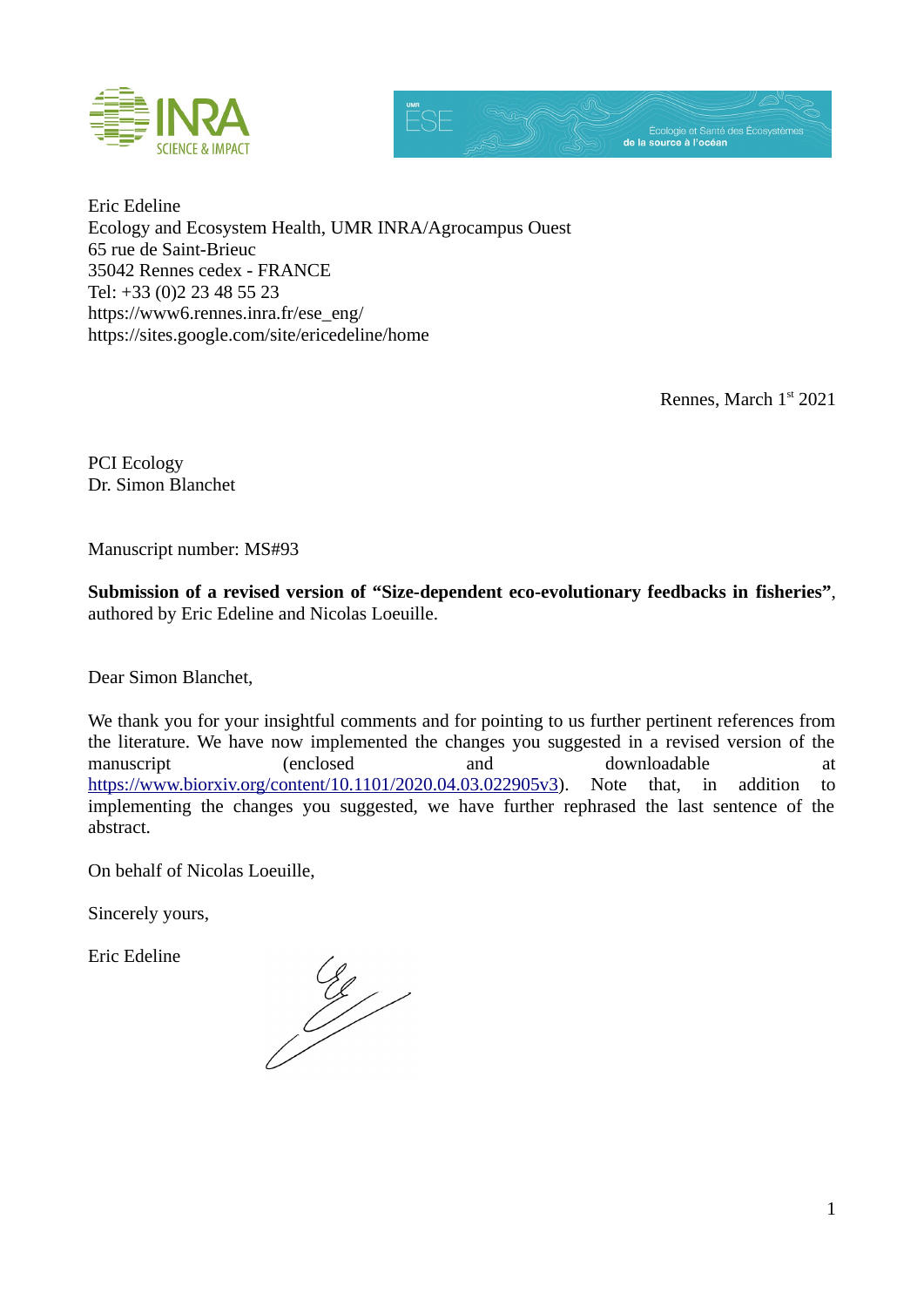

Eric Edeline Ecology and Ecosystem Health, UMR INRA/Agrocampus Ouest 65 rue de Saint-Brieuc 35042 Rennes cedex - FRANCE Tel: +33 (0)2 23 48 55 23 https://www6.rennes.inra.fr/ese\_eng/ https://sites.google.com/site/ericedeline/home

Rennes, March 1st 2021

PCI Ecology Dr. Simon Blanchet

Manuscript number: MS#93

**Submission of a revised version of "Size-dependent eco-evolutionary feedbacks in fisheries"**, authored by Eric Edeline and Nicolas Loeuille.

Dear Simon Blanchet,

We thank you for your insightful comments and for pointing to us further pertinent references from the literature. We have now implemented the changes you suggested in a revised version of the manuscript (enclosed and downloadable at [https://www.biorxiv.org/content/10.1101/2020.04.03.022905v3\)](https://www.biorxiv.org/content/10.1101/2020.04.03.022905v3). Note that, in addition to implementing the changes you suggested, we have further rephrased the last sentence of the abstract.

On behalf of Nicolas Loeuille,

Sincerely yours,

Eric Edeline

 $\frac{c}{c}$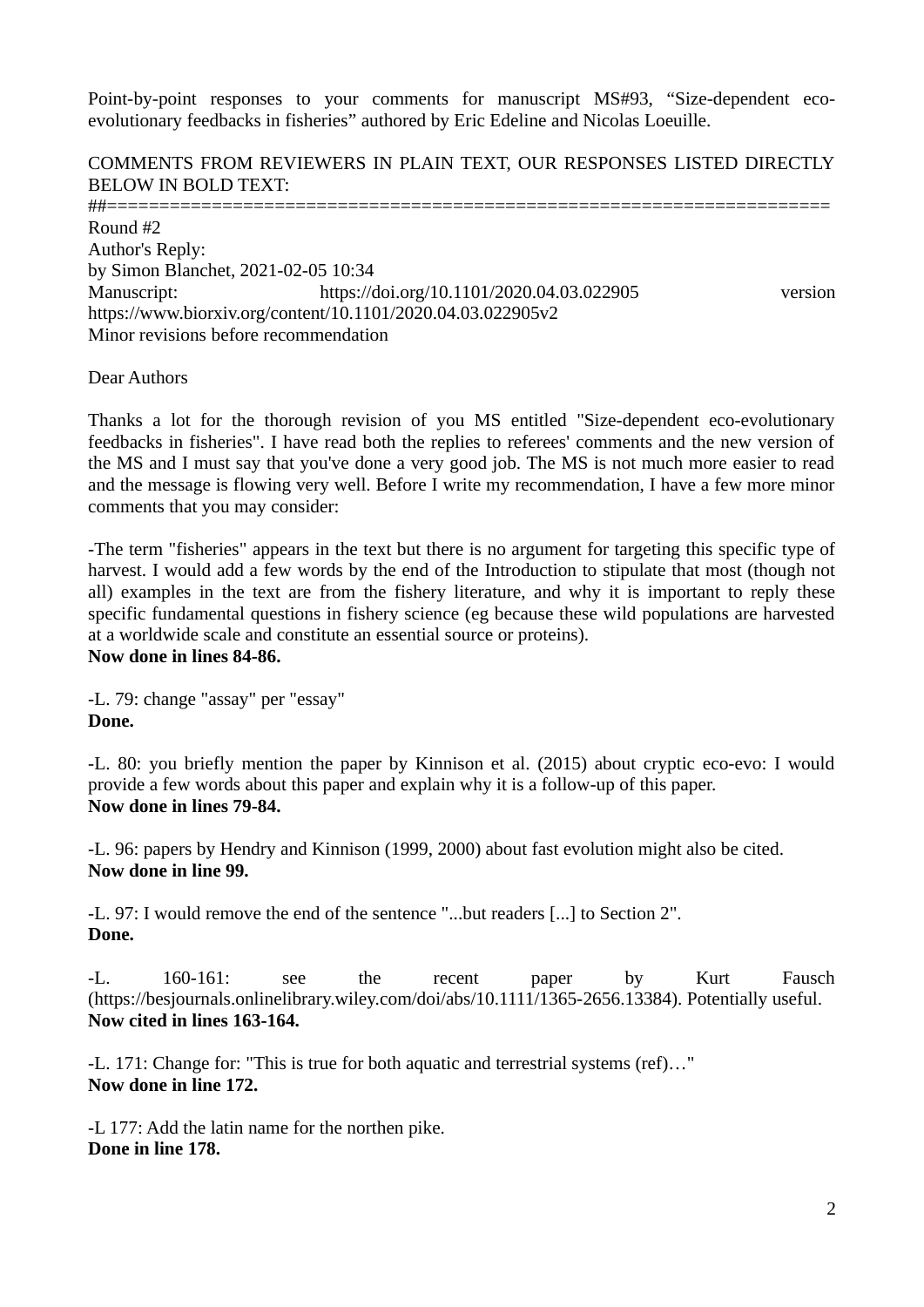Point-by-point responses to your comments for manuscript MS#93, "Size-dependent ecoevolutionary feedbacks in fisheries" authored by Eric Edeline and Nicolas Loeuille.

COMMENTS FROM REVIEWERS IN PLAIN TEXT, OUR RESPONSES LISTED DIRECTLY BELOW IN BOLD TEXT:

##===================================================================== Round #2 Author's Reply: by Simon Blanchet, 2021-02-05 10:34 Manuscript: https://doi.org/10.1101/2020.04.03.022905 version https://www.biorxiv.org/content/10.1101/2020.04.03.022905v2 Minor revisions before recommendation

Dear Authors

Thanks a lot for the thorough revision of you MS entitled "Size-dependent eco-evolutionary feedbacks in fisheries". I have read both the replies to referees' comments and the new version of the MS and I must say that you've done a very good job. The MS is not much more easier to read and the message is flowing very well. Before I write my recommendation, I have a few more minor comments that you may consider:

-The term "fisheries" appears in the text but there is no argument for targeting this specific type of harvest. I would add a few words by the end of the Introduction to stipulate that most (though not all) examples in the text are from the fishery literature, and why it is important to reply these specific fundamental questions in fishery science (eg because these wild populations are harvested at a worldwide scale and constitute an essential source or proteins). **Now done in lines 84-86.**

-L. 79: change "assay" per "essay" **Done.**

-L. 80: you briefly mention the paper by Kinnison et al. (2015) about cryptic eco-evo: I would provide a few words about this paper and explain why it is a follow-up of this paper. **Now done in lines 79-84.** 

-L. 96: papers by Hendry and Kinnison (1999, 2000) about fast evolution might also be cited. **Now done in line 99.**

-L. 97: I would remove the end of the sentence "...but readers [...] to Section 2". **Done.**

-L. 160-161: see the recent paper by Kurt Fausch (https://besjournals.onlinelibrary.wiley.com/doi/abs/10.1111/1365-2656.13384). Potentially useful. **Now cited in lines 163-164.**

-L. 171: Change for: "This is true for both aquatic and terrestrial systems (ref)…" **Now done in line 172.**

-L 177: Add the latin name for the northen pike. **Done in line 178.**